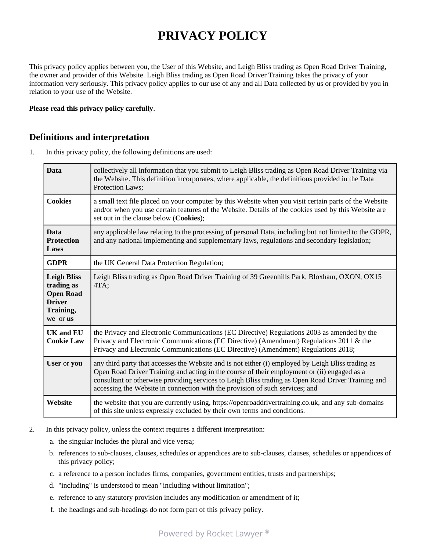# **PRIVACY POLICY**

This privacy policy applies between you, the User of this Website, and Leigh Bliss trading as Open Road Driver Training, the owner and provider of this Website. Leigh Bliss trading as Open Road Driver Training takes the privacy of your information very seriously. This privacy policy applies to our use of any and all Data collected by us or provided by you in relation to your use of the Website.

#### **Please read this privacy policy carefully**.

#### **Definitions and interpretation**

1. In this privacy policy, the following definitions are used:

| <b>Data</b>                                                                                    | collectively all information that you submit to Leigh Bliss trading as Open Road Driver Training via<br>the Website. This definition incorporates, where applicable, the definitions provided in the Data<br><b>Protection Laws:</b>                                                                                                                                                    |
|------------------------------------------------------------------------------------------------|-----------------------------------------------------------------------------------------------------------------------------------------------------------------------------------------------------------------------------------------------------------------------------------------------------------------------------------------------------------------------------------------|
| <b>Cookies</b>                                                                                 | a small text file placed on your computer by this Website when you visit certain parts of the Website<br>and/or when you use certain features of the Website. Details of the cookies used by this Website are<br>set out in the clause below (Cookies);                                                                                                                                 |
| <b>Data</b><br><b>Protection</b><br>Laws                                                       | any applicable law relating to the processing of personal Data, including but not limited to the GDPR,<br>and any national implementing and supplementary laws, regulations and secondary legislation;                                                                                                                                                                                  |
| <b>GDPR</b>                                                                                    | the UK General Data Protection Regulation;                                                                                                                                                                                                                                                                                                                                              |
| <b>Leigh Bliss</b><br>trading as<br><b>Open Road</b><br><b>Driver</b><br>Training,<br>we or us | Leigh Bliss trading as Open Road Driver Training of 39 Greenhills Park, Bloxham, OXON, OX15<br>4TA;                                                                                                                                                                                                                                                                                     |
| <b>UK and EU</b><br><b>Cookie Law</b>                                                          | the Privacy and Electronic Communications (EC Directive) Regulations 2003 as amended by the<br>Privacy and Electronic Communications (EC Directive) (Amendment) Regulations 2011 & the<br>Privacy and Electronic Communications (EC Directive) (Amendment) Regulations 2018;                                                                                                            |
| User or you                                                                                    | any third party that accesses the Website and is not either (i) employed by Leigh Bliss trading as<br>Open Road Driver Training and acting in the course of their employment or (ii) engaged as a<br>consultant or otherwise providing services to Leigh Bliss trading as Open Road Driver Training and<br>accessing the Website in connection with the provision of such services; and |
| Website                                                                                        | the website that you are currently using, https://openroaddrivertraining.co.uk, and any sub-domains<br>of this site unless expressly excluded by their own terms and conditions.                                                                                                                                                                                                        |

- 2. In this privacy policy, unless the context requires a different interpretation:
	- a. the singular includes the plural and vice versa;
	- b. references to sub-clauses, clauses, schedules or appendices are to sub-clauses, clauses, schedules or appendices of this privacy policy;
	- c. a reference to a person includes firms, companies, government entities, trusts and partnerships;
	- d. "including" is understood to mean "including without limitation";
	- e. reference to any statutory provision includes any modification or amendment of it;
	- f. the headings and sub-headings do not form part of this privacy policy.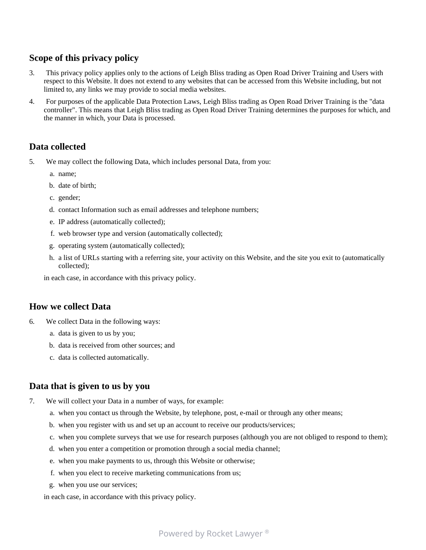# **Scope of this privacy policy**

- 3. This privacy policy applies only to the actions of Leigh Bliss trading as Open Road Driver Training and Users with respect to this Website. It does not extend to any websites that can be accessed from this Website including, but not limited to, any links we may provide to social media websites.
- 4. For purposes of the applicable Data Protection Laws, Leigh Bliss trading as Open Road Driver Training is the "data controller". This means that Leigh Bliss trading as Open Road Driver Training determines the purposes for which, and the manner in which, your Data is processed.

#### **Data collected**

- 5. We may collect the following Data, which includes personal Data, from you:
	- a. name;
	- b. date of birth;
	- c. gender;
	- d. contact Information such as email addresses and telephone numbers;
	- e. IP address (automatically collected);
	- f. web browser type and version (automatically collected);
	- g. operating system (automatically collected);
	- h. a list of URLs starting with a referring site, your activity on this Website, and the site you exit to (automatically collected);

in each case, in accordance with this privacy policy.

#### **How we collect Data**

- 6. We collect Data in the following ways:
	- a. data is given to us by you;
	- b. data is received from other sources; and
	- c. data is collected automatically.

### **Data that is given to us by you**

- 7. We will collect your Data in a number of ways, for example:
	- a. when you contact us through the Website, by telephone, post, e-mail or through any other means;
	- b. when you register with us and set up an account to receive our products/services;
	- c. when you complete surveys that we use for research purposes (although you are not obliged to respond to them);
	- d. when you enter a competition or promotion through a social media channel;
	- e. when you make payments to us, through this Website or otherwise;
	- f. when you elect to receive marketing communications from us;
	- g. when you use our services;

in each case, in accordance with this privacy policy.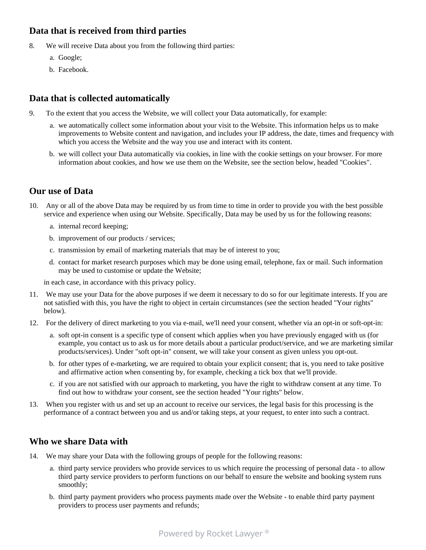# **Data that is received from third parties**

- 8. We will receive Data about you from the following third parties:
	- a. Google;
	- b. Facebook.

# **Data that is collected automatically**

- 9. To the extent that you access the Website, we will collect your Data automatically, for example:
	- a. we automatically collect some information about your visit to the Website. This information helps us to make improvements to Website content and navigation, and includes your IP address, the date, times and frequency with which you access the Website and the way you use and interact with its content.
	- b. we will collect your Data automatically via cookies, in line with the cookie settings on your browser. For more information about cookies, and how we use them on the Website, see the section below, headed "Cookies".

### **Our use of Data**

- 10. Any or all of the above Data may be required by us from time to time in order to provide you with the best possible service and experience when using our Website. Specifically, Data may be used by us for the following reasons:
	- a. internal record keeping;
	- b. improvement of our products / services;
	- c. transmission by email of marketing materials that may be of interest to you;
	- d. contact for market research purposes which may be done using email, telephone, fax or mail. Such information may be used to customise or update the Website;

in each case, in accordance with this privacy policy.

- 11. We may use your Data for the above purposes if we deem it necessary to do so for our legitimate interests. If you are not satisfied with this, you have the right to object in certain circumstances (see the section headed "Your rights" below).
- 12. For the delivery of direct marketing to you via e-mail, we'll need your consent, whether via an opt-in or soft-opt-in:
	- a. soft opt-in consent is a specific type of consent which applies when you have previously engaged with us (for example, you contact us to ask us for more details about a particular product/service, and we are marketing similar products/services). Under "soft opt-in" consent, we will take your consent as given unless you opt-out.
	- b. for other types of e-marketing, we are required to obtain your explicit consent; that is, you need to take positive and affirmative action when consenting by, for example, checking a tick box that we'll provide.
	- c. if you are not satisfied with our approach to marketing, you have the right to withdraw consent at any time. To find out how to withdraw your consent, see the section headed "Your rights" below.
- 13. When you register with us and set up an account to receive our services, the legal basis for this processing is the performance of a contract between you and us and/or taking steps, at your request, to enter into such a contract.

### **Who we share Data with**

- 14. We may share your Data with the following groups of people for the following reasons:
	- a. third party service providers who provide services to us which require the processing of personal data to allow third party service providers to perform functions on our behalf to ensure the website and booking system runs smoothly;
	- b. third party payment providers who process payments made over the Website to enable third party payment providers to process user payments and refunds;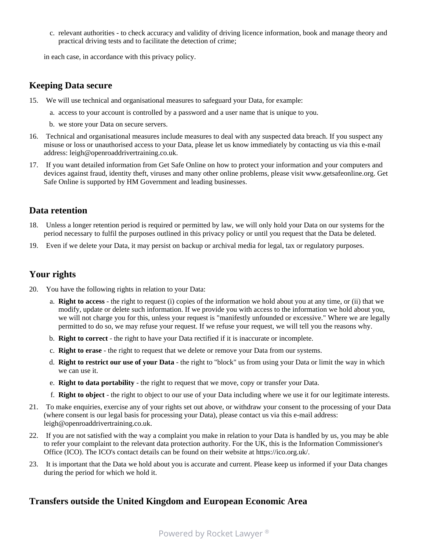c. relevant authorities - to check accuracy and validity of driving licence information, book and manage theory and practical driving tests and to facilitate the detection of crime;

in each case, in accordance with this privacy policy.

#### **Keeping Data secure**

- 15. We will use technical and organisational measures to safeguard your Data, for example:
	- a. access to your account is controlled by a password and a user name that is unique to you.
	- b. we store your Data on secure servers.
- 16. Technical and organisational measures include measures to deal with any suspected data breach. If you suspect any misuse or loss or unauthorised access to your Data, please let us know immediately by contacting us via this e-mail address: leigh@openroaddrivertraining.co.uk.
- 17. If you want detailed information from Get Safe Online on how to protect your information and your computers and devices against fraud, identity theft, viruses and many other online problems, please visit www.getsafeonline.org. Get Safe Online is supported by HM Government and leading businesses.

#### **Data retention**

- 18. Unless a longer retention period is required or permitted by law, we will only hold your Data on our systems for the period necessary to fulfil the purposes outlined in this privacy policy or until you request that the Data be deleted.
- 19. Even if we delete your Data, it may persist on backup or archival media for legal, tax or regulatory purposes.

# **Your rights**

- 20. You have the following rights in relation to your Data:
	- a. **Right to access** the right to request (i) copies of the information we hold about you at any time, or (ii) that we modify, update or delete such information. If we provide you with access to the information we hold about you, we will not charge you for this, unless your request is "manifestly unfounded or excessive." Where we are legally permitted to do so, we may refuse your request. If we refuse your request, we will tell you the reasons why.
	- b. **Right to correct** the right to have your Data rectified if it is inaccurate or incomplete.
	- c. **Right to erase** the right to request that we delete or remove your Data from our systems.
	- d. **Right to restrict our use of your Data** the right to "block" us from using your Data or limit the way in which we can use it.
	- e. **Right to data portability** the right to request that we move, copy or transfer your Data.
	- f. **Right to object** the right to object to our use of your Data including where we use it for our legitimate interests.
- 21. To make enquiries, exercise any of your rights set out above, or withdraw your consent to the processing of your Data (where consent is our legal basis for processing your Data), please contact us via this e-mail address: leigh@openroaddrivertraining.co.uk.
- 22. If you are not satisfied with the way a complaint you make in relation to your Data is handled by us, you may be able to refer your complaint to the relevant data protection authority. For the UK, this is the Information Commissioner's Office (ICO). The ICO's contact details can be found on their website at https://ico.org.uk/.
- 23. It is important that the Data we hold about you is accurate and current. Please keep us informed if your Data changes during the period for which we hold it.

# **Transfers outside the United Kingdom and European Economic Area**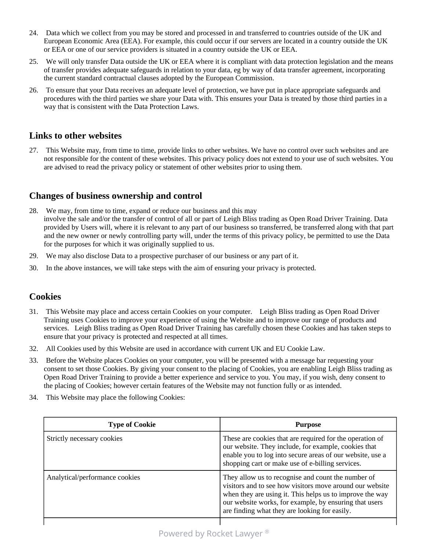- 24. Data which we collect from you may be stored and processed in and transferred to countries outside of the UK and European Economic Area (EEA). For example, this could occur if our servers are located in a country outside the UK or EEA or one of our service providers is situated in a country outside the UK or EEA.
- 25. We will only transfer Data outside the UK or EEA where it is compliant with data protection legislation and the means of transfer provides adequate safeguards in relation to your data, eg by way of data transfer agreement, incorporating the current standard contractual clauses adopted by the European Commission.
- 26. To ensure that your Data receives an adequate level of protection, we have put in place appropriate safeguards and procedures with the third parties we share your Data with. This ensures your Data is treated by those third parties in a way that is consistent with the Data Protection Laws.

#### **Links to other websites**

27. This Website may, from time to time, provide links to other websites. We have no control over such websites and are not responsible for the content of these websites. This privacy policy does not extend to your use of such websites. You are advised to read the privacy policy or statement of other websites prior to using them.

# **Changes of business ownership and control**

- 28. We may, from time to time, expand or reduce our business and this may involve the sale and/or the transfer of control of all or part of Leigh Bliss trading as Open Road Driver Training. Data provided by Users will, where it is relevant to any part of our business so transferred, be transferred along with that part and the new owner or newly controlling party will, under the terms of this privacy policy, be permitted to use the Data for the purposes for which it was originally supplied to us.
- 29. We may also disclose Data to a prospective purchaser of our business or any part of it.
- 30. In the above instances, we will take steps with the aim of ensuring your privacy is protected.

### **Cookies**

- 31. This Website may place and access certain Cookies on your computer. Leigh Bliss trading as Open Road Driver Training uses Cookies to improve your experience of using the Website and to improve our range of products and services. Leigh Bliss trading as Open Road Driver Training has carefully chosen these Cookies and has taken steps to ensure that your privacy is protected and respected at all times.
- 32. All Cookies used by this Website are used in accordance with current UK and EU Cookie Law.
- 33. Before the Website places Cookies on your computer, you will be presented with a message bar requesting your consent to set those Cookies. By giving your consent to the placing of Cookies, you are enabling Leigh Bliss trading as Open Road Driver Training to provide a better experience and service to you. You may, if you wish, deny consent to the placing of Cookies; however certain features of the Website may not function fully or as intended.
- 34. This Website may place the following Cookies:

| <b>Type of Cookie</b>          | <b>Purpose</b>                                                                                                                                                                                                                                                                        |
|--------------------------------|---------------------------------------------------------------------------------------------------------------------------------------------------------------------------------------------------------------------------------------------------------------------------------------|
| Strictly necessary cookies     | These are cookies that are required for the operation of<br>our website. They include, for example, cookies that<br>enable you to log into secure areas of our website, use a<br>shopping cart or make use of e-billing services.                                                     |
| Analytical/performance cookies | They allow us to recognise and count the number of<br>visitors and to see how visitors move around our website<br>when they are using it. This helps us to improve the way<br>our website works, for example, by ensuring that users<br>are finding what they are looking for easily. |
|                                |                                                                                                                                                                                                                                                                                       |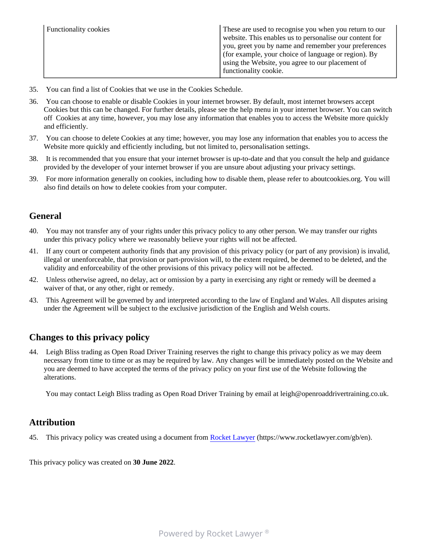| (for example, your choice of language or region). By<br>using the Website, you agree to our placement of<br>functionality cookie. |  | <b>Functionality cookies</b> | These are used to recognise you when you return to our<br>website. This enables us to personalise our content for<br>you, greet you by name and remember your preferences |
|-----------------------------------------------------------------------------------------------------------------------------------|--|------------------------------|---------------------------------------------------------------------------------------------------------------------------------------------------------------------------|
|-----------------------------------------------------------------------------------------------------------------------------------|--|------------------------------|---------------------------------------------------------------------------------------------------------------------------------------------------------------------------|

- 35. You can find a list of Cookies that we use in the Cookies Schedule.
- 36. You can choose to enable or disable Cookies in your internet browser. By default, most internet browsers accept Cookies but this can be changed. For further details, please see the help menu in your internet browser. You can switch off Cookies at any time, however, you may lose any information that enables you to access the Website more quickly and efficiently.
- 37. You can choose to delete Cookies at any time; however, you may lose any information that enables you to access the Website more quickly and efficiently including, but not limited to, personalisation settings.
- 38. It is recommended that you ensure that your internet browser is up-to-date and that you consult the help and guidance provided by the developer of your internet browser if you are unsure about adjusting your privacy settings.
- 39. For more information generally on cookies, including how to disable them, please refer to aboutcookies.org. You will also find details on how to delete cookies from your computer.

# **General**

- 40. You may not transfer any of your rights under this privacy policy to any other person. We may transfer our rights under this privacy policy where we reasonably believe your rights will not be affected.
- 41. If any court or competent authority finds that any provision of this privacy policy (or part of any provision) is invalid, illegal or unenforceable, that provision or part-provision will, to the extent required, be deemed to be deleted, and the validity and enforceability of the other provisions of this privacy policy will not be affected.
- 42. Unless otherwise agreed, no delay, act or omission by a party in exercising any right or remedy will be deemed a waiver of that, or any other, right or remedy.
- 43. This Agreement will be governed by and interpreted according to the law of England and Wales. All disputes arising under the Agreement will be subject to the exclusive jurisdiction of the English and Welsh courts.

# **Changes to this privacy policy**

44. Leigh Bliss trading as Open Road Driver Training reserves the right to change this privacy policy as we may deem necessary from time to time or as may be required by law. Any changes will be immediately posted on the Website and you are deemed to have accepted the terms of the privacy policy on your first use of the Website following the alterations.

You may contact Leigh Bliss trading as Open Road Driver Training by email at leigh@openroaddrivertraining.co.uk.

#### **Attribution**

45. This privacy policy was created using a document from [Rocket Lawyer](https://www.rocketlawyer.com/gb/en/) (https://www.rocketlawyer.com/gb/en).

This privacy policy was created on **30 June 2022**.